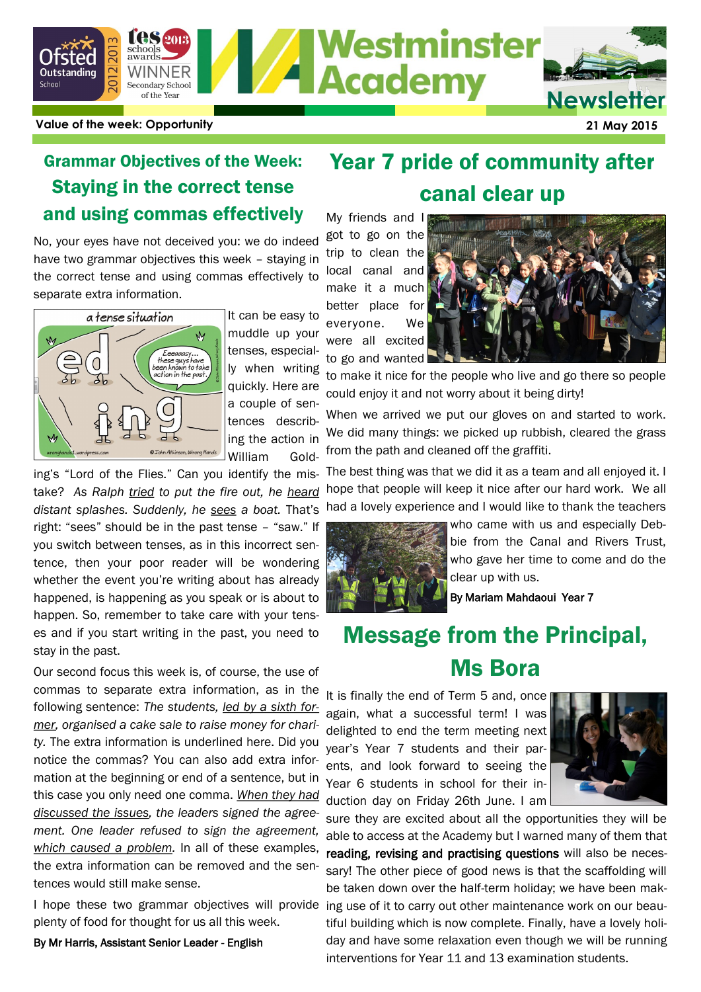

## Grammar Objectives of the Week: Staying in the correct tense and using commas effectively

No, your eyes have not deceived you: we do indeed have two grammar objectives this week – staying in the correct tense and using commas effectively to separate extra information.



It can be easy to muddle up your tenses, especially when writing quickly. Here are a couple of sentences describing the action in William Gold-

ing's "Lord of the Flies." Can you identify the mistake? *As Ralph tried to put the fire out, he heard distant splashes. Suddenly, he sees a boat.* That's right: "sees" should be in the past tense – "saw." If you switch between tenses, as in this incorrect sentence, then your poor reader will be wondering whether the event you're writing about has already happened, is happening as you speak or is about to happen. So, remember to take care with your tenses and if you start writing in the past, you need to stay in the past.

Our second focus this week is, of course, the use of commas to separate extra information, as in the following sentence: *The students, led by a sixth former, organised a cake sale to raise money for charity.* The extra information is underlined here. Did you notice the commas? You can also add extra information at the beginning or end of a sentence, but in this case you only need one comma. *When they had discussed the issues, the leaders signed the agreement. One leader refused to sign the agreement, which caused a problem.* In all of these examples, the extra information can be removed and the sentences would still make sense.

plenty of food for thought for us all this week.

By Mr Harris, Assistant Senior Leader - English

## Year 7 pride of community after canal clear up

My friends and I got to go on the trip to clean the local canal and make it a much better place for

everyone. We were all excited to go and wanted



to make it nice for the people who live and go there so people could enjoy it and not worry about it being dirty!

When we arrived we put our gloves on and started to work. We did many things: we picked up rubbish, cleared the grass from the path and cleaned off the graffiti.

The best thing was that we did it as a team and all enjoyed it. I hope that people will keep it nice after our hard work. We all had a lovely experience and I would like to thank the teachers



who came with us and especially Debbie from the Canal and Rivers Trust, who gave her time to come and do the clear up with us.

By Mariam Mahdaoui Year 7

# Message from the Principal, Ms Bora

It is finally the end of Term 5 and, once again, what a successful term! I was delighted to end the term meeting next year's Year 7 students and their parents, and look forward to seeing the Year 6 students in school for their induction day on Friday 26th June. I am



I hope these two grammar objectives will provide ing use of it to carry out other maintenance work on our beausure they are excited about all the opportunities they will be able to access at the Academy but I warned many of them that reading, revising and practising questions will also be necessary! The other piece of good news is that the scaffolding will be taken down over the half-term holiday; we have been maktiful building which is now complete. Finally, have a lovely holiday and have some relaxation even though we will be running interventions for Year 11 and 13 examination students.